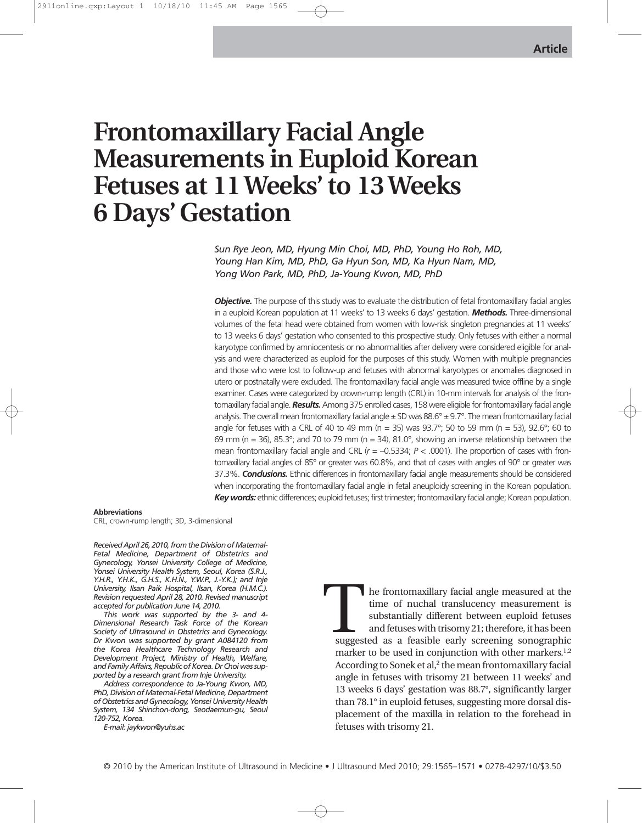# **Frontomaxillary Facial Angle Measurements in Euploid Korean Fetuses at 11 Weeks' to 13 Weeks 6 Days' Gestation**

*Sun Rye Jeon, MD, Hyung Min Choi, MD, PhD, Young Ho Roh, MD, Young Han Kim, MD, PhD, Ga Hyun Son, MD, Ka Hyun Nam, MD, Yong Won Park, MD, PhD, Ja-Young Kwon, MD, PhD*

**Objective.** The purpose of this study was to evaluate the distribution of fetal frontomaxillary facial angles in a euploid Korean population at 11 weeks' to 13 weeks 6 days' gestation. *Methods.* Three-dimensional volumes of the fetal head were obtained from women with low-risk singleton pregnancies at 11 weeks' to 13 weeks 6 days' gestation who consented to this prospective study. Only fetuses with either a normal karyotype confirmed by amniocentesis or no abnormalities after delivery were considered eligible for analysis and were characterized as euploid for the purposes of this study. Women with multiple pregnancies and those who were lost to follow-up and fetuses with abnormal karyotypes or anomalies diagnosed in utero or postnatally were excluded. The frontomaxillary facial angle was measured twice offline by a single examiner. Cases were categorized by crown-rump length (CRL) in 10-mm intervals for analysis of the frontomaxillary facial angle. *Results.*Among 375 enrolled cases, 158 were eligible for frontomaxillary facial angle analysis. The overall mean frontomaxillary facial angle  $\pm$  SD was 88.6°  $\pm$  9.7°. The mean frontomaxillary facial angle for fetuses with a CRL of 40 to 49 mm ( $n = 35$ ) was 93.7°; 50 to 59 mm ( $n = 53$ ), 92.6°; 60 to 69 mm (n = 36), 85.3°; and 70 to 79 mm (n = 34), 81.0°, showing an inverse relationship between the mean frontomaxillary facial angle and CRL  $(r = -0.5334; P < .0001)$ . The proportion of cases with frontomaxillary facial angles of 85° or greater was 60.8%, and that of cases with angles of 90° or greater was 37.3%. *Conclusions.* Ethnic differences in frontomaxillary facial angle measurements should be considered when incorporating the frontomaxillary facial angle in fetal aneuploidy screening in the Korean population. *Key words:* ethnic differences; euploid fetuses; first trimester; frontomaxillary facial angle; Korean population.

#### **Abbreviations**

CRL, crown-rump length; 3D, 3-dimensional

*Received April 26, 2010, from the Division of Maternal-Fetal Medicine, Department of Obstetrics and Gynecology, Yonsei University College of Medicine, Yonsei University Health System, Seoul, Korea (S.R.J., Y.H.R., Y.H.K., G.H.S., K.H.N., Y.W.P., J.-Y.K.); and Inje University, Ilsan Paik Hospital, Ilsan, Korea (H.M.C.). Revision requested April 28, 2010. Revised manuscript accepted for publication June 14, 2010.*

*This work was supported by the 3- and 4- Dimensional Research Task Force of the Korean Society of Ultrasound in Obstetrics and Gynecology. Dr Kwon was supported by grant A084120 from the Korea Healthcare Technology Research and Development Project, Ministry of Health, Welfare, and Family Affairs, Republic of Korea. Dr Choi was supported by a research grant from Inje University.*

*Address correspondence to Ja-Young Kwon, MD, PhD, Division of Maternal-Fetal Medicine, Department of Obstetrics and Gynecology, Yonsei University Health System, 134 Shinchon-dong, Seodaemun-gu, Seoul 120-752, Korea.*

*E-mail: jaykwon@yuhs.ac*

he frontomaxillary facial angle measured at the time of nuchal translucency measurement is substantially different between euploid fetuses and fetuses with trisomy 21; therefore, it has been suggested as a feasible early screening sonographic marker to be used in conjunction with other markers.<sup>1,2</sup> According to Sonek et al, $^2$  the mean frontomaxillary facial angle in fetuses with trisomy 21 between 11 weeks' and 13 weeks 6 days' gestation was 88.7°, significantly larger than 78.1° in euploid fetuses, suggesting more dorsal displacement of the maxilla in relation to the forehead in fetuses with trisomy 21. Sugges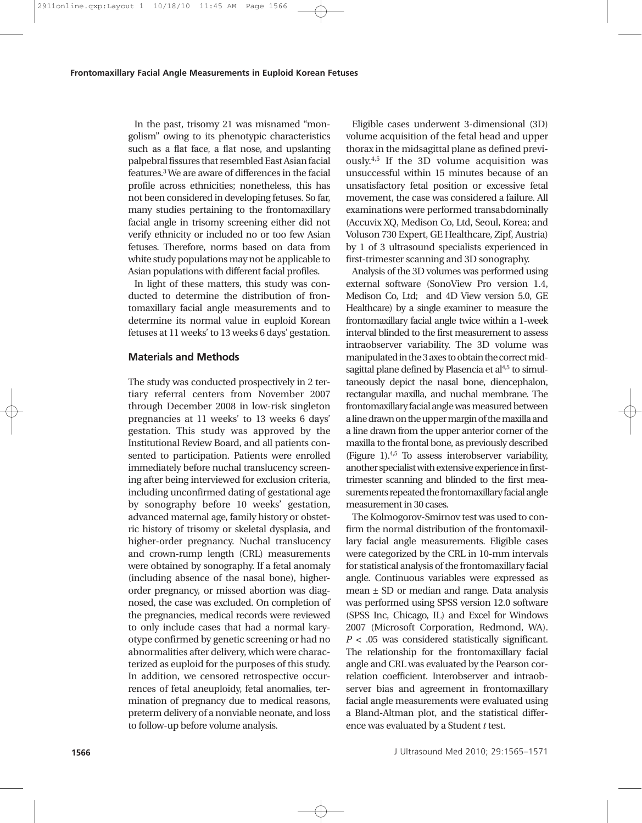In the past, trisomy 21 was misnamed "mongolism" owing to its phenotypic characteristics such as a flat face, a flat nose, and upslanting palpebral fissures that resembled East Asian facial features.3We are aware of differences in the facial profile across ethnicities; nonetheless, this has not been considered in developing fetuses. So far, many studies pertaining to the frontomaxillary facial angle in trisomy screening either did not verify ethnicity or included no or too few Asian fetuses. Therefore, norms based on data from white study populations may not be applicable to Asian populations with different facial profiles.

In light of these matters, this study was conducted to determine the distribution of frontomaxillary facial angle measurements and to determine its normal value in euploid Korean fetuses at 11 weeks' to 13 weeks 6 days' gestation.

# **Materials and Methods**

The study was conducted prospectively in 2 tertiary referral centers from November 2007 through December 2008 in low-risk singleton pregnancies at 11 weeks' to 13 weeks 6 days' gestation. This study was approved by the Institutional Review Board, and all patients consented to participation. Patients were enrolled immediately before nuchal translucency screening after being interviewed for exclusion criteria, including unconfirmed dating of gestational age by sonography before 10 weeks' gestation, advanced maternal age, family history or obstetric history of trisomy or skeletal dysplasia, and higher-order pregnancy. Nuchal translucency and crown-rump length (CRL) measurements were obtained by sonography. If a fetal anomaly (including absence of the nasal bone), higherorder pregnancy, or missed abortion was diagnosed, the case was excluded. On completion of the pregnancies, medical records were reviewed to only include cases that had a normal karyotype confirmed by genetic screening or had no abnormalities after delivery, which were characterized as euploid for the purposes of this study. In addition, we censored retrospective occurrences of fetal aneuploidy, fetal anomalies, termination of pregnancy due to medical reasons, preterm delivery of a nonviable neonate, and loss to follow-up before volume analysis.

Eligible cases underwent 3-dimensional (3D) volume acquisition of the fetal head and upper thorax in the midsagittal plane as defined previously.4,5 If the 3D volume acquisition was unsuccessful within 15 minutes because of an unsatisfactory fetal position or excessive fetal movement, the case was considered a failure. All examinations were performed transabdominally (Accuvix XQ, Medison Co, Ltd, Seoul, Korea; and Voluson 730 Expert, GE Healthcare, Zipf, Austria) by 1 of 3 ultrasound specialists experienced in first-trimester scanning and 3D sonography.

Analysis of the 3D volumes was performed using external software (SonoView Pro version 1.4, Medison Co, Ltd; and 4D View version 5.0, GE Healthcare) by a single examiner to measure the frontomaxillary facial angle twice within a 1-week interval blinded to the first measurement to assess intraobserver variability. The 3D volume was manipulated in the 3 axes to obtain the correct midsagittal plane defined by Plasencia et al<sup>4,5</sup> to simultaneously depict the nasal bone, diencephalon, rectangular maxilla, and nuchal membrane. The frontomaxillary facial angle was measured between a line drawn on the upper margin of the maxilla and a line drawn from the upper anterior corner of the maxilla to the frontal bone, as previously described (Figure 1).4,5 To assess interobserver variability, another specialist with extensive experience in firsttrimester scanning and blinded to the first measurements repeated the frontomaxillary facial angle measurement in 30 cases.

The Kolmogorov-Smirnov test was used to confirm the normal distribution of the frontomaxillary facial angle measurements. Eligible cases were categorized by the CRL in 10-mm intervals for statistical analysis of the frontomaxillary facial angle. Continuous variables were expressed as mean ± SD or median and range. Data analysis was performed using SPSS version 12.0 software (SPSS Inc, Chicago, IL) and Excel for Windows 2007 (Microsoft Corporation, Redmond, WA). *P* < .05 was considered statistically significant. The relationship for the frontomaxillary facial angle and CRL was evaluated by the Pearson correlation coefficient. Interobserver and intraobserver bias and agreement in frontomaxillary facial angle measurements were evaluated using a Bland-Altman plot, and the statistical difference was evaluated by a Student *t* test.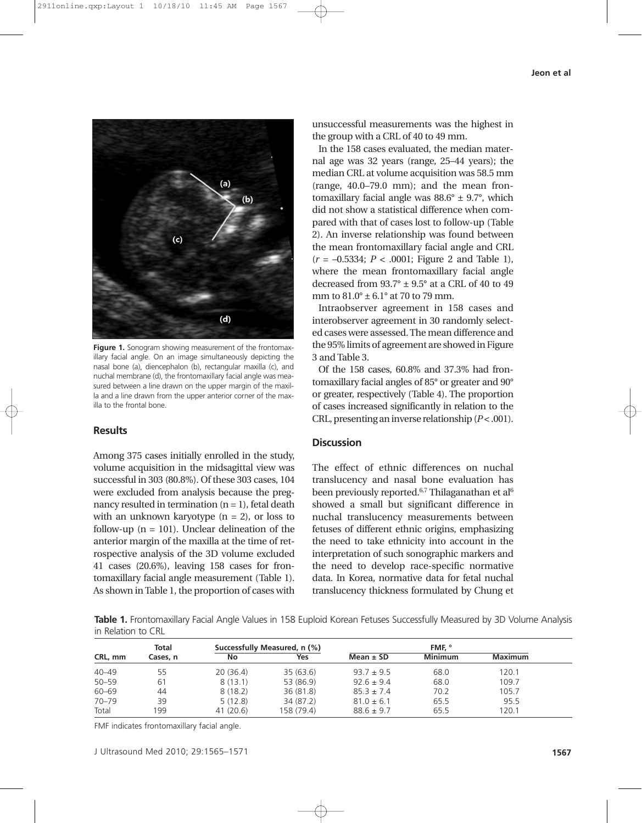

**Figure 1.** Sonogram showing measurement of the frontomaxillary facial angle. On an image simultaneously depicting the nasal bone (a), diencephalon (b), rectangular maxilla (c), and nuchal membrane (d), the frontomaxillary facial angle was measured between a line drawn on the upper margin of the maxilla and a line drawn from the upper anterior corner of the maxilla to the frontal bone.

## **Results**

Among 375 cases initially enrolled in the study, volume acquisition in the midsagittal view was successful in 303 (80.8%). Of these 303 cases, 104 were excluded from analysis because the pregnancy resulted in termination  $(n = 1)$ , fetal death with an unknown karyotype  $(n = 2)$ , or loss to follow-up  $(n = 101)$ . Unclear delineation of the anterior margin of the maxilla at the time of retrospective analysis of the 3D volume excluded 41 cases (20.6%), leaving 158 cases for frontomaxillary facial angle measurement (Table 1). As shown in Table 1, the proportion of cases with unsuccessful measurements was the highest in the group with a CRL of 40 to 49 mm.

In the 158 cases evaluated, the median maternal age was 32 years (range, 25–44 years); the median CRL at volume acquisition was 58.5 mm (range, 40.0–79.0 mm); and the mean frontomaxillary facial angle was  $88.6^{\circ} \pm 9.7^{\circ}$ , which did not show a statistical difference when compared with that of cases lost to follow-up (Table 2). An inverse relationship was found between the mean frontomaxillary facial angle and CRL (*r* = –0.5334; *P* < .0001; Figure 2 and Table 1), where the mean frontomaxillary facial angle decreased from  $93.7^\circ \pm 9.5^\circ$  at a CRL of 40 to 49 mm to 81.0° ± 6.1° at 70 to 79 mm.

Intraobserver agreement in 158 cases and interobserver agreement in 30 randomly selected cases were assessed. The mean difference and the 95% limits of agreement are showed in Figure 3 and Table 3.

Of the 158 cases, 60.8% and 37.3% had frontomaxillary facial angles of 85° or greater and 90° or greater, respectively (Table 4). The proportion of cases increased significantly in relation to the CRL, presenting an inverse relationship  $(P < .001)$ .

## **Discussion**

The effect of ethnic differences on nuchal translucency and nasal bone evaluation has been previously reported.<sup>6,7</sup> Thilaganathan et al<sup>6</sup> showed a small but significant difference in nuchal translucency measurements between fetuses of different ethnic origins, emphasizing the need to take ethnicity into account in the interpretation of such sonographic markers and the need to develop race-specific normative data. In Korea, normative data for fetal nuchal translucency thickness formulated by Chung et

**Table 1.** Frontomaxillary Facial Angle Values in 158 Euploid Korean Fetuses Successfully Measured by 3D Volume Analysis in Relation to CRL

| CRL, mm   | Total<br>Cases, n | Successfully Measured, n (%) |            | FMF. °         |                |                |  |
|-----------|-------------------|------------------------------|------------|----------------|----------------|----------------|--|
|           |                   | No                           | Yes        | Mean $\pm$ SD  | <b>Minimum</b> | <b>Maximum</b> |  |
| $40 - 49$ | 55                | 20(36.4)                     | 35(63.6)   | $93.7 \pm 9.5$ | 68.0           | 120.1          |  |
| $50 - 59$ | 61                | 8(13.1)                      | 53 (86.9)  | $92.6 \pm 9.4$ | 68.0           | 109.7          |  |
| $60 - 69$ | 44                | 8(18.2)                      | 36(81.8)   | $85.3 \pm 7.4$ | 70.2           | 105.7          |  |
| $70 - 79$ | 39                | 5(12.8)                      | 34 (87.2)  | $81.0 \pm 6.1$ | 65.5           | 95.5           |  |
| Total     | 199               | 41(20.6)                     | 158 (79.4) | $88.6 \pm 9.7$ | 65.5           | 120.1          |  |

FMF indicates frontomaxillary facial angle.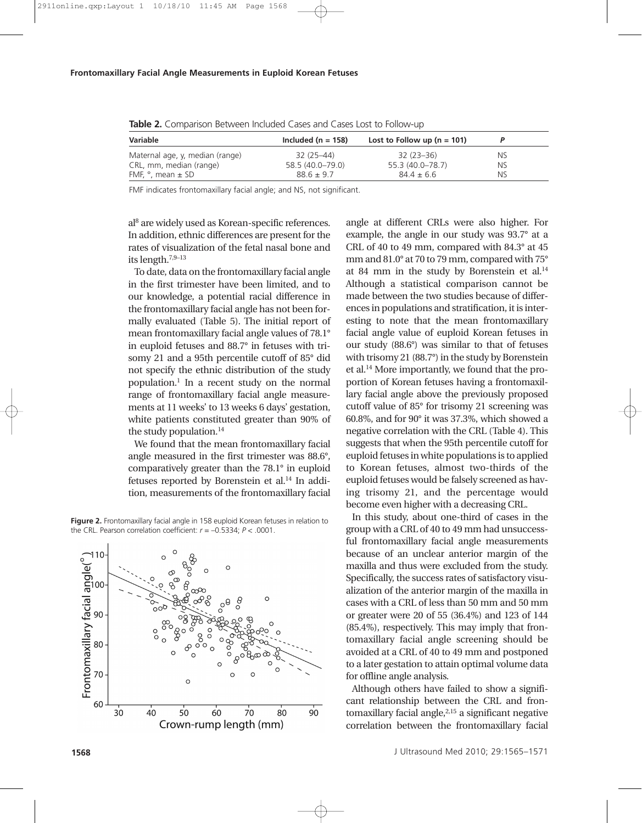| Variable                        | Included ( $n = 158$ ) | Lost to Follow up ( $n = 101$ ) |           |  |
|---------------------------------|------------------------|---------------------------------|-----------|--|
| Maternal age, y, median (range) | 32 (25–44)             | 32 (23–36)                      | NS.       |  |
| CRL, mm, median (range)         | 58.5 (40.0-79.0)       | 55.3 (40.0–78.7)                | <b>NS</b> |  |
| FMF, $\degree$ , mean $\pm$ SD  | $886 + 97$             | $844 + 66$                      | NS        |  |

**Table 2.** Comparison Between Included Cases and Cases Lost to Follow-up

FMF indicates frontomaxillary facial angle; and NS, not significant.

al8 are widely used as Korean-specific references. In addition, ethnic differences are present for the rates of visualization of the fetal nasal bone and its length.7,9–13

To date, data on the frontomaxillary facial angle in the first trimester have been limited, and to our knowledge, a potential racial difference in the frontomaxillary facial angle has not been formally evaluated (Table 5). The initial report of mean frontomaxillary facial angle values of 78.1° in euploid fetuses and 88.7° in fetuses with trisomy 21 and a 95th percentile cutoff of 85° did not specify the ethnic distribution of the study population.1 In a recent study on the normal range of frontomaxillary facial angle measurements at 11 weeks' to 13 weeks 6 days' gestation, white patients constituted greater than 90% of the study population. $14$ 

We found that the mean frontomaxillary facial angle measured in the first trimester was 88.6°, comparatively greater than the 78.1° in euploid fetuses reported by Borenstein et al.<sup>14</sup> In addition, measurements of the frontomaxillary facial

**Figure 2.** Frontomaxillary facial angle in 158 euploid Korean fetuses in relation to the CRL. Pearson correlation coefficient:  $r = -0.5334$ ;  $P < .0001$ .



angle at different CRLs were also higher. For example, the angle in our study was 93.7° at a CRL of 40 to 49 mm, compared with 84.3° at 45 mm and 81.0° at 70 to 79 mm, compared with 75° at 84 mm in the study by Borenstein et al.14 Although a statistical comparison cannot be made between the two studies because of differences in populations and stratification, it is interesting to note that the mean frontomaxillary facial angle value of euploid Korean fetuses in our study (88.6°) was similar to that of fetuses with trisomy 21 (88.7°) in the study by Borenstein et al.14 More importantly, we found that the proportion of Korean fetuses having a frontomaxillary facial angle above the previously proposed cutoff value of 85° for trisomy 21 screening was 60.8%, and for 90° it was 37.3%, which showed a negative correlation with the CRL (Table 4). This suggests that when the 95th percentile cutoff for euploid fetuses in white populations is to applied to Korean fetuses, almost two-thirds of the euploid fetuses would be falsely screened as having trisomy 21, and the percentage would become even higher with a decreasing CRL.

In this study, about one-third of cases in the group with a CRL of 40 to 49 mm had unsuccessful frontomaxillary facial angle measurements because of an unclear anterior margin of the maxilla and thus were excluded from the study. Specifically, the success rates of satisfactory visualization of the anterior margin of the maxilla in cases with a CRL of less than 50 mm and 50 mm or greater were 20 of 55 (36.4%) and 123 of 144 (85.4%), respectively. This may imply that frontomaxillary facial angle screening should be avoided at a CRL of 40 to 49 mm and postponed to a later gestation to attain optimal volume data for offline angle analysis.

Although others have failed to show a significant relationship between the CRL and frontomaxillary facial angle, $2,15$  a significant negative correlation between the frontomaxillary facial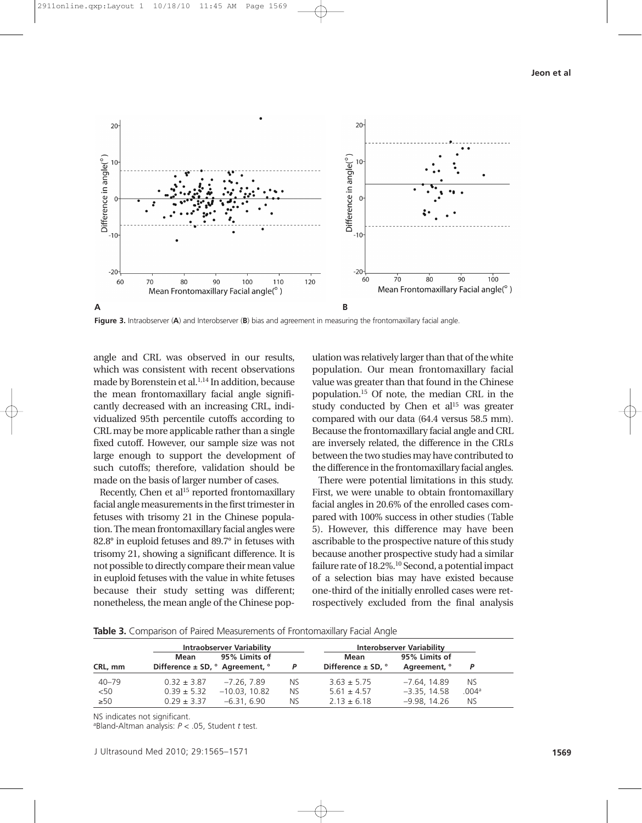

**Figure 3.** Intraobserver (**A**) and Interobserver (**B**) bias and agreement in measuring the frontomaxillary facial angle.

angle and CRL was observed in our results, which was consistent with recent observations made by Borenstein et al.<sup>1,14</sup> In addition, because the mean frontomaxillary facial angle significantly decreased with an increasing CRL, individualized 95th percentile cutoffs according to CRL may be more applicable rather than a single fixed cutoff. However, our sample size was not large enough to support the development of such cutoffs; therefore, validation should be made on the basis of larger number of cases.

Recently, Chen et al $15$  reported frontomaxillary facial angle measurements in the first trimester in fetuses with trisomy 21 in the Chinese population. The mean frontomaxillary facial angles were 82.8° in euploid fetuses and 89.7° in fetuses with trisomy 21, showing a significant difference. It is not possible to directly compare their mean value in euploid fetuses with the value in white fetuses because their study setting was different; nonetheless, the mean angle of the Chinese pop-

ulation was relatively larger than that of the white population. Our mean frontomaxillary facial value was greater than that found in the Chinese population.15 Of note, the median CRL in the study conducted by Chen et  $al<sup>15</sup>$  was greater compared with our data (64.4 versus 58.5 mm). Because the frontomaxillary facial angle and CRL are inversely related, the difference in the CRLs between the two studies may have contributed to the difference in the frontomaxillary facial angles.

There were potential limitations in this study. First, we were unable to obtain frontomaxillary facial angles in 20.6% of the enrolled cases compared with 100% success in other studies (Table 5). However, this difference may have been ascribable to the prospective nature of this study because another prospective study had a similar failure rate of 18.2%.<sup>10</sup> Second, a potential impact of a selection bias may have existed because one-third of the initially enrolled cases were retrospectively excluded from the final analysis

**Table 3.** Comparison of Paired Measurements of Frontomaxillary Facial Angle

|           |                                                       | <b>Intraobserver Variability</b> |     | <b>Interobserver Variability</b> |                |       |
|-----------|-------------------------------------------------------|----------------------------------|-----|----------------------------------|----------------|-------|
|           | Mean                                                  | 95% Limits of                    |     | Mean                             | 95% Limits of  |       |
| CRL, mm   | Difference $\pm$ SD, $^{\circ}$ Agreement, $^{\circ}$ |                                  | P   | Difference $\pm$ SD, $^{\circ}$  | Agreement, °   | Þ     |
| $40 - 79$ | $0.32 \pm 3.87$                                       | $-7.26.7.89$                     | NS. | $3.63 \pm 5.75$                  | -7.64, 14.89   | NS.   |
| < 50      | $0.39 \pm 5.32$                                       | $-10.03, 10.82$                  | NS. | $5.61 \pm 4.57$                  | $-3.35, 14.58$ | .004a |
| $\geq 50$ | $0.29 \pm 3.37$                                       | –6.31. 6.90                      | NS. | $2.13 \pm 6.18$                  | $-9.98, 14.26$ | NS.   |

NS indicates not significant.

a Bland-Altman analysis: *P* < .05, Student *t* test.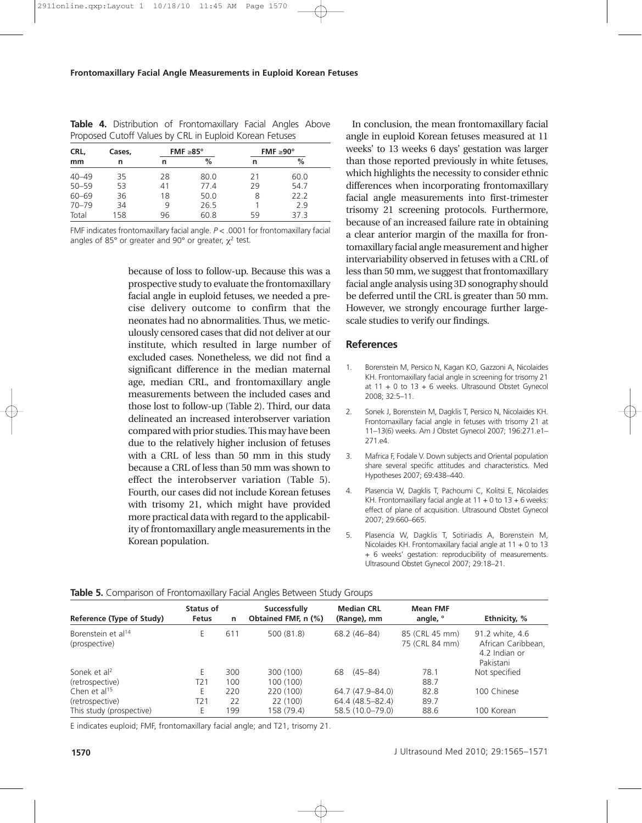| CRL,      | Cases, |    | FMF $\geq 85^\circ$ | FMF $\geq 90^{\circ}$ |      |  |
|-----------|--------|----|---------------------|-----------------------|------|--|
| mm        | n      | n  | $\%$                | n                     | %    |  |
| $40 - 49$ | 35     | 28 | 80.0                | 21                    | 60.0 |  |
| $50 - 59$ | 53     | 41 | 77.4                | 29                    | 54.7 |  |
| $60 - 69$ | 36     | 18 | 50.0                | 8                     | 222  |  |
| $70 - 79$ | 34     | 9  | 26.5                |                       | 29   |  |
| Total     | 158    | 96 | 60.8                | 59                    | 37.3 |  |

**Table 4.** Distribution of Frontomaxillary Facial Angles Above Proposed Cutoff Values by CRL in Euploid Korean Fetuses

FMF indicates frontomaxillary facial angle. *P* < .0001 for frontomaxillary facial angles of 85 $^{\circ}$  or greater and 90 $^{\circ}$  or greater,  $\chi^2$  test.

> because of loss to follow-up. Because this was a prospective study to evaluate the frontomaxillary facial angle in euploid fetuses, we needed a precise delivery outcome to confirm that the neonates had no abnormalities. Thus, we meticulously censored cases that did not deliver at our institute, which resulted in large number of excluded cases. Nonetheless, we did not find a significant difference in the median maternal age, median CRL, and frontomaxillary angle measurements between the included cases and those lost to follow-up (Table 2). Third, our data delineated an increased interobserver variation compared with prior studies. This may have been due to the relatively higher inclusion of fetuses with a CRL of less than 50 mm in this study because a CRL of less than 50 mm was shown to effect the interobserver variation (Table 5). Fourth, our cases did not include Korean fetuses with trisomy 21, which might have provided more practical data with regard to the applicability of frontomaxillary angle measurements in the Korean population.

In conclusion, the mean frontomaxillary facial angle in euploid Korean fetuses measured at 11 weeks' to 13 weeks 6 days' gestation was larger than those reported previously in white fetuses, which highlights the necessity to consider ethnic differences when incorporating frontomaxillary facial angle measurements into first-trimester trisomy 21 screening protocols. Furthermore, because of an increased failure rate in obtaining a clear anterior margin of the maxilla for frontomaxillary facial angle measurement and higher intervariability observed in fetuses with a CRL of less than 50 mm, we suggest that frontomaxillary facial angle analysis using 3D sonography should be deferred until the CRL is greater than 50 mm. However, we strongly encourage further largescale studies to verify our findings.

#### **References**

- 1. Borenstein M, Persico N, Kagan KO, Gazzoni A, Nicolaides KH. Frontomaxillary facial angle in screening for trisomy 21 at  $11 + 0$  to  $13 + 6$  weeks. Ultrasound Obstet Gynecol 2008; 32:5–11.
- 2. Sonek J, Borenstein M, Dagklis T, Persico N, Nicolaides KH. Frontomaxillary facial angle in fetuses with trisomy 21 at 11–13(6) weeks. Am J Obstet Gynecol 2007; 196:271.e1– 271.e4.
- 3. Mafrica F, Fodale V. Down subjects and Oriental population share several specific attitudes and characteristics. Med Hypotheses 2007; 69:438–440.
- 4. Plasencia W, Dagklis T, Pachoumi C, Kolitsi E, Nicolaides KH. Frontomaxillary facial angle at  $11 + 0$  to  $13 + 6$  weeks: effect of plane of acquisition. Ultrasound Obstet Gynecol 2007; 29:660–665.
- 5. Plasencia W, Dagklis T, Sotiriadis A, Borenstein M, Nicolaides KH. Frontomaxillary facial angle at 11 + 0 to 13 + 6 weeks' gestation: reproducibility of measurements. Ultrasound Obstet Gynecol 2007; 29:18–21.

|                                                 |                           |     | $\overline{\phantom{0}}$            |                                  |                                  |                                                                     |
|-------------------------------------------------|---------------------------|-----|-------------------------------------|----------------------------------|----------------------------------|---------------------------------------------------------------------|
| Reference (Type of Study)                       | Status of<br><b>Fetus</b> | n   | Successfully<br>Obtained FMF, n (%) | <b>Median CRL</b><br>(Range), mm | <b>Mean FMF</b><br>angle, °      | Ethnicity, %                                                        |
| Borenstein et al <sup>14</sup><br>(prospective) | E                         | 611 | 500 (81.8)                          | 68.2 (46-84)                     | 85 (CRL 45 mm)<br>75 (CRL 84 mm) | 91.2 white, 4.6<br>African Caribbean,<br>4.2 Indian or<br>Pakistani |
| Sonek et al <sup>2</sup>                        | E                         | 300 | 300 (100)                           | $(45 - 84)$<br>68                | 78.1                             | Not specified                                                       |
| (retrospective)                                 | T21                       | 100 | 100 (100)                           |                                  | 88.7                             |                                                                     |
| Chen et al <sup>15</sup>                        | Ε                         | 220 | 220 (100)                           | 64.7 (47.9–84.0)                 | 82.8                             | 100 Chinese                                                         |
| (retrospective)                                 | T21                       | 22  | 22 (100)                            | 64.4 (48.5-82.4)                 | 89.7                             |                                                                     |
| This study (prospective)                        | E                         | 199 | 158 (79.4)                          | 58.5 (10.0-79.0)                 | 88.6                             | 100 Korean                                                          |

#### **Table 5.** Comparison of Frontomaxillary Facial Angles Between Study Groups

E indicates euploid; FMF, frontomaxillary facial angle; and T21, trisomy 21.